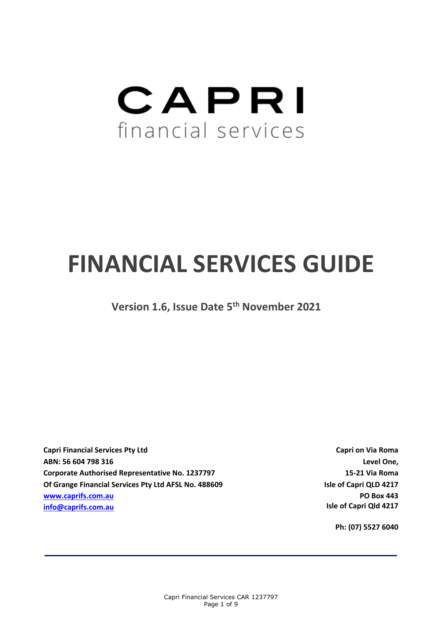# CAPRI financial services

# **FINANCIAL SERVICES GUIDE**

**Version 1.6, Issue Date 5 th November 2021**

**Capri Financial Services Pty Ltd ABN: 56 604 798 316 Corporate Authorised Representative No. 1237797 Of Grange Financial Services Pty Ltd AFSL No. 488609 [www.caprifs.com.au](http://www.caprifs.com.au/) [info@caprifs.com.au](mailto:info@caprifs.com.au)**

**Capri on Via Roma Level One, 15-21 Via Roma Isle of Capri QLD 4217 PO Box 443 Isle of Capri Qld 4217**

**Ph: (07) 5527 6040**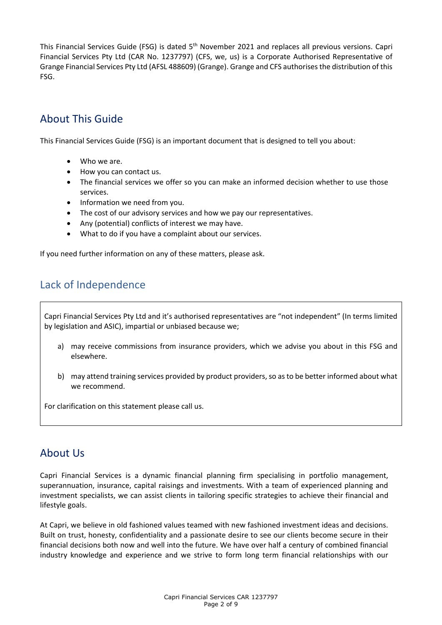This Financial Services Guide (FSG) is dated 5<sup>th</sup> November 2021 and replaces all previous versions. Capri Financial Services Pty Ltd (CAR No. 1237797) (CFS, we, us) is a Corporate Authorised Representative of Grange Financial Services Pty Ltd (AFSL 488609) (Grange). Grange and CFS authorises the distribution of this FSG.

# About This Guide

This Financial Services Guide (FSG) is an important document that is designed to tell you about:

- Who we are.
- How you can contact us.
- The financial services we offer so you can make an informed decision whether to use those services.
- Information we need from you.
- The cost of our advisory services and how we pay our representatives.
- Any (potential) conflicts of interest we may have.
- What to do if you have a complaint about our services.

If you need further information on any of these matters, please ask.

# Lack of Independence

Capri Financial Services Pty Ltd and it's authorised representatives are "not independent" (In terms limited by legislation and ASIC), impartial or unbiased because we;

- a) may receive commissions from insurance providers, which we advise you about in this FSG and elsewhere.
- b) may attend training services provided by product providers, so as to be better informed about what we recommend.

For clarification on this statement please call us.

# About Us

Capri Financial Services is a dynamic financial planning firm specialising in portfolio management, superannuation, insurance, capital raisings and investments. With a team of experienced planning and investment specialists, we can assist clients in tailoring specific strategies to achieve their financial and lifestyle goals.

At Capri, we believe in old fashioned values teamed with new fashioned investment ideas and decisions. Built on trust, honesty, confidentiality and a passionate desire to see our clients become secure in their financial decisions both now and well into the future. We have over half a century of combined financial industry knowledge and experience and we strive to form long term financial relationships with our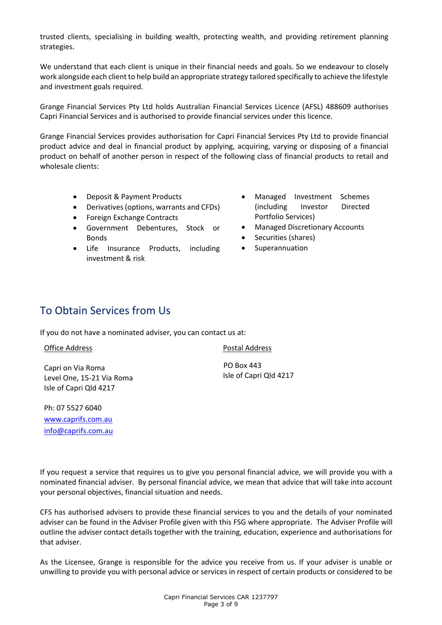trusted clients, specialising in building wealth, protecting wealth, and providing retirement planning strategies.

We understand that each client is unique in their financial needs and goals. So we endeavour to closely work alongside each client to help build an appropriate strategy tailored specifically to achieve the lifestyle and investment goals required.

Grange Financial Services Pty Ltd holds Australian Financial Services Licence (AFSL) 488609 authorises Capri Financial Services and is authorised to provide financial services under this licence.

Grange Financial Services provides authorisation for Capri Financial Services Pty Ltd to provide financial product advice and deal in financial product by applying, acquiring, varying or disposing of a financial product on behalf of another person in respect of the following class of financial products to retail and wholesale clients:

- Deposit & Payment Products
	- Derivatives (options, warrants and CFDs)
- Foreign Exchange Contracts
- Government Debentures, Stock or Bonds
- Life Insurance Products, including investment & risk
- Managed Investment Schemes (including Investor Directed Portfolio Services)
- Managed Discretionary Accounts
- Securities (shares)
- Superannuation

# To Obtain Services from Us

If you do not have a nominated adviser, you can contact us at:

#### Office Address

Capri on Via Roma Level One, 15-21 Via Roma Isle of Capri Qld 4217

Postal Address

 PO Box 443 Isle of Capri Qld 4217

Ph: 07 5527 6040 [www.caprifs.com.au](http://www.caprifs.com.au/) [info@caprifs.com.au](mailto:info@caprifs.com.au)

If you request a service that requires us to give you personal financial advice, we will provide you with a nominated financial adviser. By personal financial advice, we mean that advice that will take into account your personal objectives, financial situation and needs.

CFS has authorised advisers to provide these financial services to you and the details of your nominated adviser can be found in the Adviser Profile given with this FSG where appropriate. The Adviser Profile will outline the adviser contact details together with the training, education, experience and authorisations for that adviser.

As the Licensee, Grange is responsible for the advice you receive from us. If your adviser is unable or unwilling to provide you with personal advice or services in respect of certain products or considered to be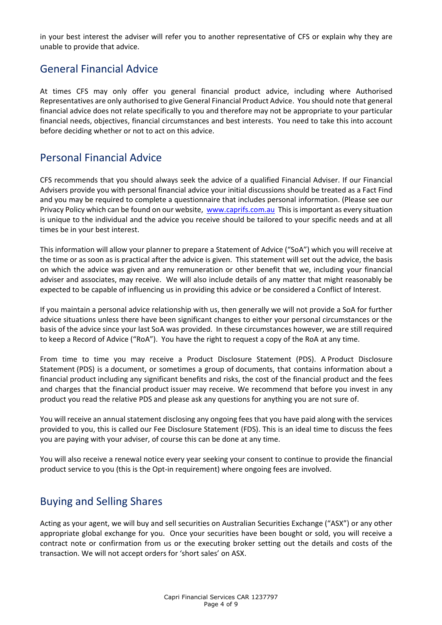in your best interest the adviser will refer you to another representative of CFS or explain why they are unable to provide that advice.

# General Financial Advice

At times CFS may only offer you general financial product advice, including where Authorised Representatives are only authorised to give General Financial Product Advice. You should note that general financial advice does not relate specifically to you and therefore may not be appropriate to your particular financial needs, objectives, financial circumstances and best interests. You need to take this into account before deciding whether or not to act on this advice.

# Personal Financial Advice

CFS recommends that you should always seek the advice of a qualified Financial Adviser. If our Financial Advisers provide you with personal financial advice your initial discussions should be treated as a Fact Find and you may be required to complete a questionnaire that includes personal information. (Please see our Privacy Policy which can be found on our website, [www.caprifs.com.au](http://www.caprifs.com.au/) This is important as every situation is unique to the individual and the advice you receive should be tailored to your specific needs and at all times be in your best interest.

This information will allow your planner to prepare a Statement of Advice ("SoA") which you will receive at the time or as soon as is practical after the advice is given. This statement will set out the advice, the basis on which the advice was given and any remuneration or other benefit that we, including your financial adviser and associates, may receive. We will also include details of any matter that might reasonably be expected to be capable of influencing us in providing this advice or be considered a Conflict of Interest.

If you maintain a personal advice relationship with us, then generally we will not provide a SoA for further advice situations unless there have been significant changes to either your personal circumstances or the basis of the advice since your last SoA was provided. In these circumstances however, we are still required to keep a Record of Advice ("RoA"). You have the right to request a copy of the RoA at any time.

From time to time you may receive a Product Disclosure Statement (PDS). A Product Disclosure Statement (PDS) is a document, or sometimes a group of documents, that contains information about a financial product including any significant benefits and risks, the cost of the financial product and the fees and charges that the financial product issuer may receive. We recommend that before you invest in any product you read the relative PDS and please ask any questions for anything you are not sure of.

You will receive an annual statement disclosing any ongoing fees that you have paid along with the services provided to you, this is called our Fee Disclosure Statement (FDS). This is an ideal time to discuss the fees you are paying with your adviser, of course this can be done at any time.

You will also receive a renewal notice every year seeking your consent to continue to provide the financial product service to you (this is the Opt-in requirement) where ongoing fees are involved.

# Buying and Selling Shares

Acting as your agent, we will buy and sell securities on Australian Securities Exchange ("ASX") or any other appropriate global exchange for you. Once your securities have been bought or sold, you will receive a contract note or confirmation from us or the executing broker setting out the details and costs of the transaction. We will not accept orders for 'short sales' on ASX.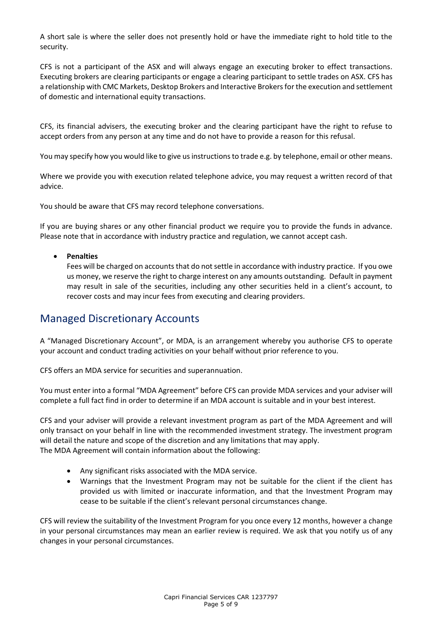A short sale is where the seller does not presently hold or have the immediate right to hold title to the security.

CFS is not a participant of the ASX and will always engage an executing broker to effect transactions. Executing brokers are clearing participants or engage a clearing participant to settle trades on ASX. CFS has a relationship with CMC Markets, Desktop Brokers and Interactive Brokersfor the execution and settlement of domestic and international equity transactions.

CFS, its financial advisers, the executing broker and the clearing participant have the right to refuse to accept orders from any person at any time and do not have to provide a reason for this refusal.

You may specify how you would like to give us instructions to trade e.g. by telephone, email or other means.

Where we provide you with execution related telephone advice, you may request a written record of that advice.

You should be aware that CFS may record telephone conversations.

If you are buying shares or any other financial product we require you to provide the funds in advance. Please note that in accordance with industry practice and regulation, we cannot accept cash.

#### • **Penalties**

Fees will be charged on accounts that do not settle in accordance with industry practice. If you owe us money, we reserve the right to charge interest on any amounts outstanding. Default in payment may result in sale of the securities, including any other securities held in a client's account, to recover costs and may incur fees from executing and clearing providers.

## Managed Discretionary Accounts

A "Managed Discretionary Account", or MDA, is an arrangement whereby you authorise CFS to operate your account and conduct trading activities on your behalf without prior reference to you.

CFS offers an MDA service for securities and superannuation.

You must enter into a formal "MDA Agreement" before CFS can provide MDA services and your adviser will complete a full fact find in order to determine if an MDA account is suitable and in your best interest.

CFS and your adviser will provide a relevant investment program as part of the MDA Agreement and will only transact on your behalf in line with the recommended investment strategy. The investment program will detail the nature and scope of the discretion and any limitations that may apply. The MDA Agreement will contain information about the following:

- Any significant risks associated with the MDA service.
- Warnings that the Investment Program may not be suitable for the client if the client has provided us with limited or inaccurate information, and that the Investment Program may cease to be suitable if the client's relevant personal circumstances change.

CFS will review the suitability of the Investment Program for you once every 12 months, however a change in your personal circumstances may mean an earlier review is required. We ask that you notify us of any changes in your personal circumstances.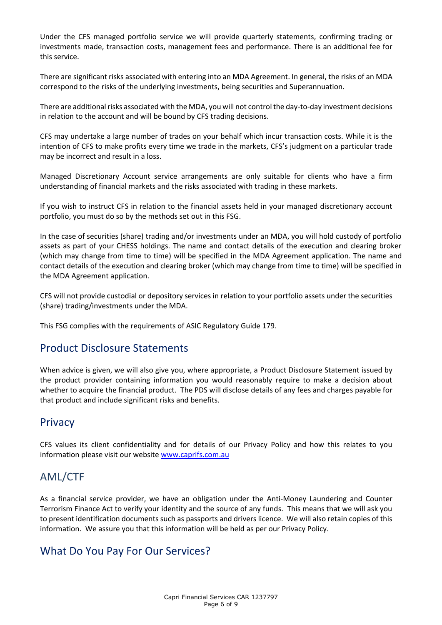Under the CFS managed portfolio service we will provide quarterly statements, confirming trading or investments made, transaction costs, management fees and performance. There is an additional fee for this service.

There are significant risks associated with entering into an MDA Agreement. In general, the risks of an MDA correspond to the risks of the underlying investments, being securities and Superannuation.

There are additional risks associated with the MDA, you will not control the day-to-day investment decisions in relation to the account and will be bound by CFS trading decisions.

CFS may undertake a large number of trades on your behalf which incur transaction costs. While it is the intention of CFS to make profits every time we trade in the markets, CFS's judgment on a particular trade may be incorrect and result in a loss.

Managed Discretionary Account service arrangements are only suitable for clients who have a firm understanding of financial markets and the risks associated with trading in these markets.

If you wish to instruct CFS in relation to the financial assets held in your managed discretionary account portfolio, you must do so by the methods set out in this FSG.

In the case of securities (share) trading and/or investments under an MDA, you will hold custody of portfolio assets as part of your CHESS holdings. The name and contact details of the execution and clearing broker (which may change from time to time) will be specified in the MDA Agreement application. The name and contact details of the execution and clearing broker (which may change from time to time) will be specified in the MDA Agreement application.

CFS will not provide custodial or depository services in relation to your portfolio assets under the securities (share) trading/investments under the MDA.

This FSG complies with the requirements of ASIC Regulatory Guide 179.

## Product Disclosure Statements

When advice is given, we will also give you, where appropriate, a Product Disclosure Statement issued by the product provider containing information you would reasonably require to make a decision about whether to acquire the financial product. The PDS will disclose details of any fees and charges payable for that product and include significant risks and benefits.

### **Privacy**

CFS values its client confidentiality and for details of our Privacy Policy and how this relates to you information please visit our website [www.caprifs.com.au](http://www.caprifs.com.au/)

## AML/CTF

As a financial service provider, we have an obligation under the Anti-Money Laundering and Counter Terrorism Finance Act to verify your identity and the source of any funds. This means that we will ask you to present identification documents such as passports and drivers licence. We will also retain copies of this information. We assure you that this information will be held as per our Privacy Policy.

## What Do You Pay For Our Services?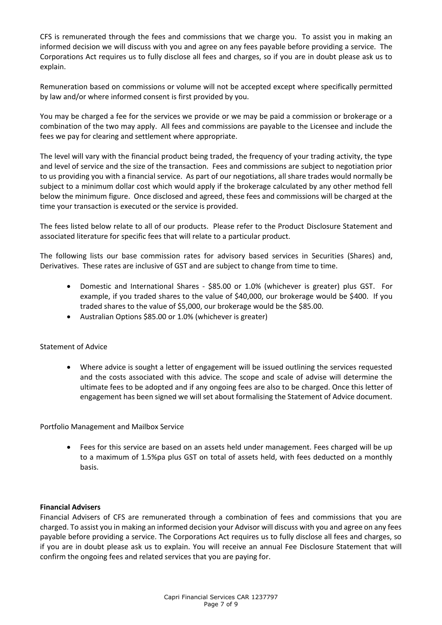CFS is remunerated through the fees and commissions that we charge you. To assist you in making an informed decision we will discuss with you and agree on any fees payable before providing a service. The Corporations Act requires us to fully disclose all fees and charges, so if you are in doubt please ask us to explain.

Remuneration based on commissions or volume will not be accepted except where specifically permitted by law and/or where informed consent is first provided by you.

You may be charged a fee for the services we provide or we may be paid a commission or brokerage or a combination of the two may apply. All fees and commissions are payable to the Licensee and include the fees we pay for clearing and settlement where appropriate.

The level will vary with the financial product being traded, the frequency of your trading activity, the type and level of service and the size of the transaction. Fees and commissions are subject to negotiation prior to us providing you with a financial service. As part of our negotiations, all share trades would normally be subject to a minimum dollar cost which would apply if the brokerage calculated by any other method fell below the minimum figure. Once disclosed and agreed, these fees and commissions will be charged at the time your transaction is executed or the service is provided.

The fees listed below relate to all of our products. Please refer to the Product Disclosure Statement and associated literature for specific fees that will relate to a particular product.

The following lists our base commission rates for advisory based services in Securities (Shares) and, Derivatives. These rates are inclusive of GST and are subject to change from time to time.

- Domestic and International Shares \$85.00 or 1.0% (whichever is greater) plus GST. For example, if you traded shares to the value of \$40,000, our brokerage would be \$400. If you traded shares to the value of \$5,000, our brokerage would be the \$85.00.
- Australian Options \$85.00 or 1.0% (whichever is greater)

#### Statement of Advice

• Where advice is sought a letter of engagement will be issued outlining the services requested and the costs associated with this advice. The scope and scale of advise will determine the ultimate fees to be adopted and if any ongoing fees are also to be charged. Once this letter of engagement has been signed we will set about formalising the Statement of Advice document.

Portfolio Management and Mailbox Service

• Fees for this service are based on an assets held under management. Fees charged will be up to a maximum of 1.5%pa plus GST on total of assets held, with fees deducted on a monthly basis.

#### **Financial Advisers**

Financial Advisers of CFS are remunerated through a combination of fees and commissions that you are charged. To assist you in making an informed decision your Advisor will discuss with you and agree on any fees payable before providing a service. The Corporations Act requires us to fully disclose all fees and charges, so if you are in doubt please ask us to explain. You will receive an annual Fee Disclosure Statement that will confirm the ongoing fees and related services that you are paying for.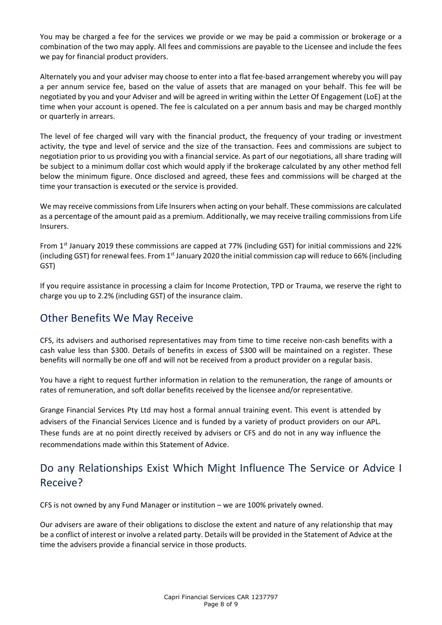You may be charged a fee for the services we provide or we may be paid a commission or brokerage or a combination of the two may apply. All fees and commissions are payable to the Licensee and include the fees we pay for financial product providers.

Alternately you and your adviser may choose to enter into a flat fee-based arrangement whereby you will pay a per annum service fee, based on the value of assets that are managed on your behalf. This fee will be negotiated by you and your Adviser and will be agreed in writing within the Letter Of Engagement (LoE) at the time when your account is opened. The fee is calculated on a per annum basis and may be charged monthly or quarterly in arrears.

The level of fee charged will vary with the financial product, the frequency of your trading or investment activity, the type and level of service and the size of the transaction. Fees and commissions are subject to negotiation prior to us providing you with a financial service. As part of our negotiations, all share trading will be subject to a minimum dollar cost which would apply if the brokerage calculated by any other method fell below the minimum figure. Once disclosed and agreed, these fees and commissions will be charged at the time your transaction is executed or the service is provided.

We may receive commissions from Life Insurers when acting on your behalf. These commissions are calculated as a percentage of the amount paid as a premium. Additionally, we may receive trailing commissions from Life Insurers.

From 1st January 2019 these commissions are capped at 77% (including GST) for initial commissions and 22% (including GST) for renewal fees. From 1<sup>st</sup> January 2020 the initial commission cap will reduce to 66% (including GST)

If you require assistance in processing a claim for Income Protection, TPD or Trauma, we reserve the right to charge you up to 2.2% (including GST) of the insurance claim.

## Other Benefits We May Receive

CFS, its advisers and authorised representatives may from time to time receive non-cash benefits with a cash value less than \$300. Details of benefits in excess of \$300 will be maintained on a register. These benefits will normally be one off and will not be received from a product provider on a regular basis.

You have a right to request further information in relation to the remuneration, the range of amounts or rates of remuneration, and soft dollar benefits received by the licensee and/or representative.

Grange Financial Services Pty Ltd may host a formal annual training event. This event is attended by advisers of the Financial Services Licence and is funded by a variety of product providers on our APL. These funds are at no point directly received by advisers or CFS and do not in any way influence the recommendations made within this Statement of Advice.

# Do any Relationships Exist Which Might Influence The Service or Advice I Receive?

CFS is not owned by any Fund Manager or institution – we are 100% privately owned.

Our advisers are aware of their obligations to disclose the extent and nature of any relationship that may be a conflict of interest or involve a related party. Details will be provided in the Statement of Advice at the time the advisers provide a financial service in those products.